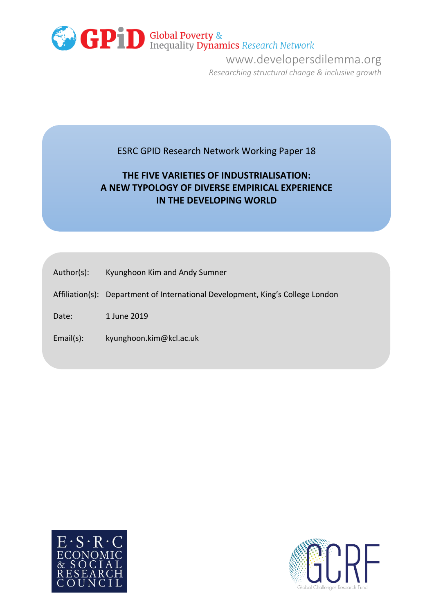

www.developersdilemma.org *Researching structural change & inclusive growth*

# ESRC GPID Research Network Working Paper 18

# **THE FIVE VARIETIES OF INDUSTRIALISATION: A NEW TYPOLOGY OF DIVERSE EMPIRICAL EXPERIENCE IN THE DEVELOPING WORLD**

- Author(s): Kyunghoon Kim and Andy Sumner
- Affiliation(s): Department of International Development, King's College London

Date: 1 June 2019

Email(s): kyunghoon.kim@kcl.ac.uk



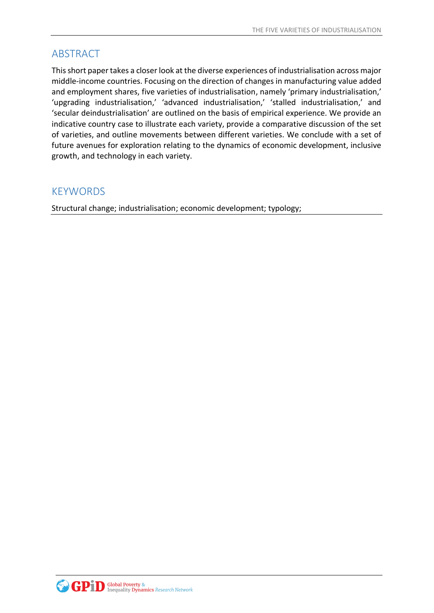# ABSTRACT

This short paper takes a closer look at the diverse experiences of industrialisation across major middle-income countries. Focusing on the direction of changes in manufacturing value added and employment shares, five varieties of industrialisation, namely 'primary industrialisation,' 'upgrading industrialisation,' 'advanced industrialisation,' 'stalled industrialisation,' and 'secular deindustrialisation' are outlined on the basis of empirical experience. We provide an indicative country case to illustrate each variety, provide a comparative discussion of the set of varieties, and outline movements between different varieties. We conclude with a set of future avenues for exploration relating to the dynamics of economic development, inclusive growth, and technology in each variety.

# KEYWORDS

Structural change; industrialisation; economic development; typology;

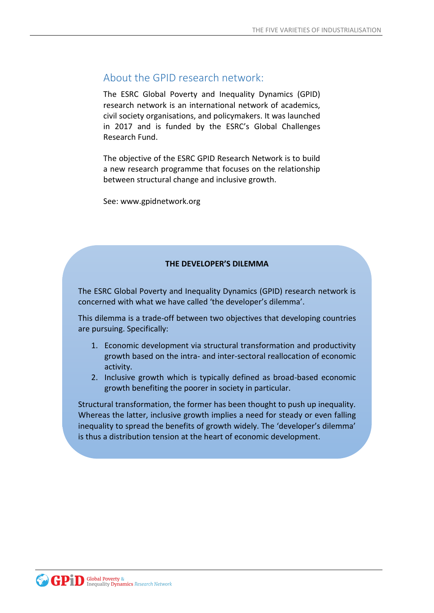# About the GPID research network:

The ESRC Global Poverty and Inequality Dynamics (GPID) research network is an international network of academics, civil society organisations, and policymakers. It was launched in 2017 and is funded by the ESRC's Global Challenges Research Fund.

The objective of the ESRC GPID Research Network is to build a new research programme that focuses on the relationship between structural change and inclusive growth.

See: www.gpidnetwork.org

### **THE DEVELOPER'S DILEMMA**

The ESRC Global Poverty and Inequality Dynamics (GPID) research network is concerned with what we have called 'the developer's dilemma'.

This dilemma is a trade-off between two objectives that developing countries are pursuing. Specifically:

- 1. Economic development via structural transformation and productivity growth based on the intra- and inter-sectoral reallocation of economic activity.
- 2. Inclusive growth which is typically defined as broad-based economic growth benefiting the poorer in society in particular.

Structural transformation, the former has been thought to push up inequality. Whereas the latter, inclusive growth implies a need for steady or even falling inequality to spread the benefits of growth widely. The 'developer's dilemma' is thus a distribution tension at the heart of economic development.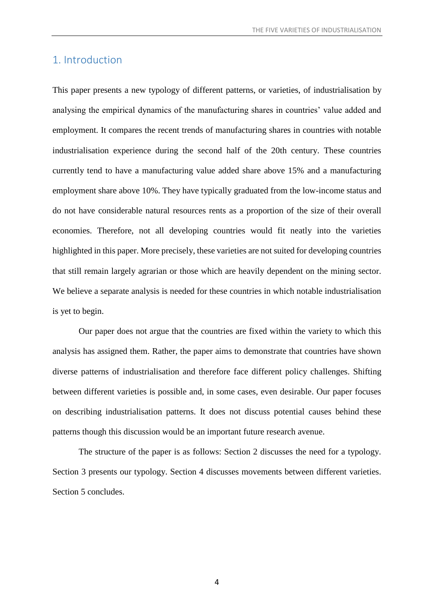## 1. Introduction

This paper presents a new typology of different patterns, or varieties, of industrialisation by analysing the empirical dynamics of the manufacturing shares in countries' value added and employment. It compares the recent trends of manufacturing shares in countries with notable industrialisation experience during the second half of the 20th century. These countries currently tend to have a manufacturing value added share above 15% and a manufacturing employment share above 10%. They have typically graduated from the low-income status and do not have considerable natural resources rents as a proportion of the size of their overall economies. Therefore, not all developing countries would fit neatly into the varieties highlighted in this paper. More precisely, these varieties are not suited for developing countries that still remain largely agrarian or those which are heavily dependent on the mining sector. We believe a separate analysis is needed for these countries in which notable industrialisation is yet to begin.

Our paper does not argue that the countries are fixed within the variety to which this analysis has assigned them. Rather, the paper aims to demonstrate that countries have shown diverse patterns of industrialisation and therefore face different policy challenges. Shifting between different varieties is possible and, in some cases, even desirable. Our paper focuses on describing industrialisation patterns. It does not discuss potential causes behind these patterns though this discussion would be an important future research avenue.

The structure of the paper is as follows: Section 2 discusses the need for a typology. Section 3 presents our typology. Section 4 discusses movements between different varieties. Section 5 concludes.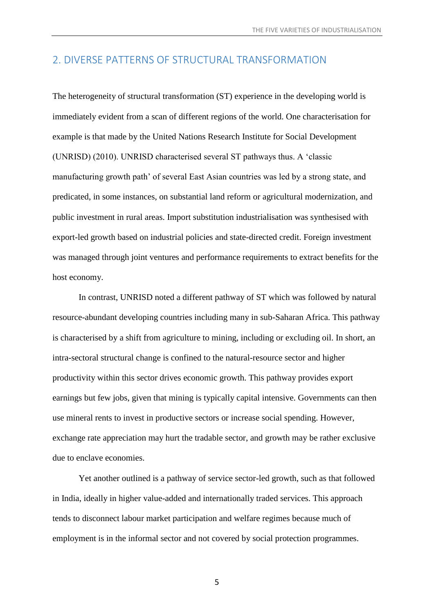## 2. DIVERSE PATTERNS OF STRUCTURAL TRANSFORMATION

The heterogeneity of structural transformation (ST) experience in the developing world is immediately evident from a scan of different regions of the world. One characterisation for example is that made by the United Nations Research Institute for Social Development (UNRISD) (2010). UNRISD characterised several ST pathways thus. A 'classic manufacturing growth path' of several East Asian countries was led by a strong state, and predicated, in some instances, on substantial land reform or agricultural modernization, and public investment in rural areas. Import substitution industrialisation was synthesised with export-led growth based on industrial policies and state-directed credit. Foreign investment was managed through joint ventures and performance requirements to extract benefits for the host economy.

In contrast, UNRISD noted a different pathway of ST which was followed by natural resource-abundant developing countries including many in sub-Saharan Africa. This pathway is characterised by a shift from agriculture to mining, including or excluding oil. In short, an intra-sectoral structural change is confined to the natural-resource sector and higher productivity within this sector drives economic growth. This pathway provides export earnings but few jobs, given that mining is typically capital intensive. Governments can then use mineral rents to invest in productive sectors or increase social spending. However, exchange rate appreciation may hurt the tradable sector, and growth may be rather exclusive due to enclave economies.

Yet another outlined is a pathway of service sector-led growth, such as that followed in India, ideally in higher value-added and internationally traded services. This approach tends to disconnect labour market participation and welfare regimes because much of employment is in the informal sector and not covered by social protection programmes.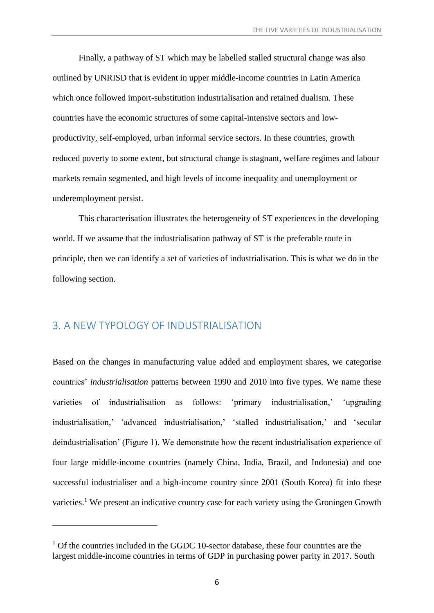Finally, a pathway of ST which may be labelled stalled structural change was also outlined by UNRISD that is evident in upper middle-income countries in Latin America which once followed import-substitution industrialisation and retained dualism. These countries have the economic structures of some capital-intensive sectors and lowproductivity, self-employed, urban informal service sectors. In these countries, growth reduced poverty to some extent, but structural change is stagnant, welfare regimes and labour markets remain segmented, and high levels of income inequality and unemployment or underemployment persist.

This characterisation illustrates the heterogeneity of ST experiences in the developing world. If we assume that the industrialisation pathway of ST is the preferable route in principle, then we can identify a set of varieties of industrialisation. This is what we do in the following section.

## 3. A NEW TYPOLOGY OF INDUSTRIALISATION

1

Based on the changes in manufacturing value added and employment shares, we categorise countries' *industrialisation* patterns between 1990 and 2010 into five types. We name these varieties of industrialisation as follows: 'primary industrialisation,' 'upgrading industrialisation,' 'advanced industrialisation,' 'stalled industrialisation,' and 'secular deindustrialisation' (Figure 1). We demonstrate how the recent industrialisation experience of four large middle-income countries (namely China, India, Brazil, and Indonesia) and one successful industrialiser and a high-income country since 2001 (South Korea) fit into these varieties.<sup>1</sup> We present an indicative country case for each variety using the Groningen Growth

 $1$  Of the countries included in the GGDC 10-sector database, these four countries are the largest middle-income countries in terms of GDP in purchasing power parity in 2017. South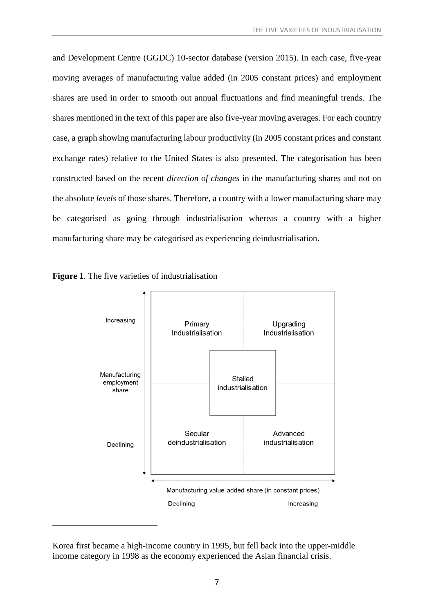and Development Centre (GGDC) 10-sector database (version 2015). In each case, five-year moving averages of manufacturing value added (in 2005 constant prices) and employment shares are used in order to smooth out annual fluctuations and find meaningful trends. The shares mentioned in the text of this paper are also five-year moving averages. For each country case, a graph showing manufacturing labour productivity (in 2005 constant prices and constant exchange rates) relative to the United States is also presented. The categorisation has been constructed based on the recent *direction of changes* in the manufacturing shares and not on the absolute *levels* of those shares. Therefore, a country with a lower manufacturing share may be categorised as going through industrialisation whereas a country with a higher manufacturing share may be categorised as experiencing deindustrialisation.





Korea first became a high-income country in 1995, but fell back into the upper-middle income category in 1998 as the economy experienced the Asian financial crisis.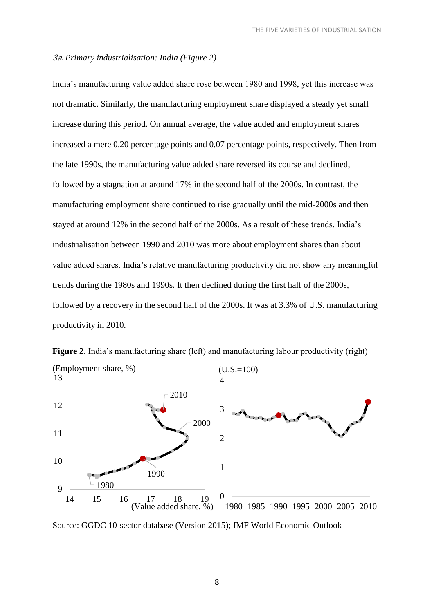### 3a. *Primary industrialisation: India (Figure 2)*

India's manufacturing value added share rose between 1980 and 1998, yet this increase was not dramatic. Similarly, the manufacturing employment share displayed a steady yet small increase during this period. On annual average, the value added and employment shares increased a mere 0.20 percentage points and 0.07 percentage points, respectively. Then from the late 1990s, the manufacturing value added share reversed its course and declined, followed by a stagnation at around 17% in the second half of the 2000s. In contrast, the manufacturing employment share continued to rise gradually until the mid-2000s and then stayed at around 12% in the second half of the 2000s. As a result of these trends, India's industrialisation between 1990 and 2010 was more about employment shares than about value added shares. India's relative manufacturing productivity did not show any meaningful trends during the 1980s and 1990s. It then declined during the first half of the 2000s, followed by a recovery in the second half of the 2000s. It was at 3.3% of U.S. manufacturing productivity in 2010.



**Figure 2**. India's manufacturing share (left) and manufacturing labour productivity (right) (Employment share, %)

Source: GGDC 10-sector database (Version 2015); IMF World Economic Outlook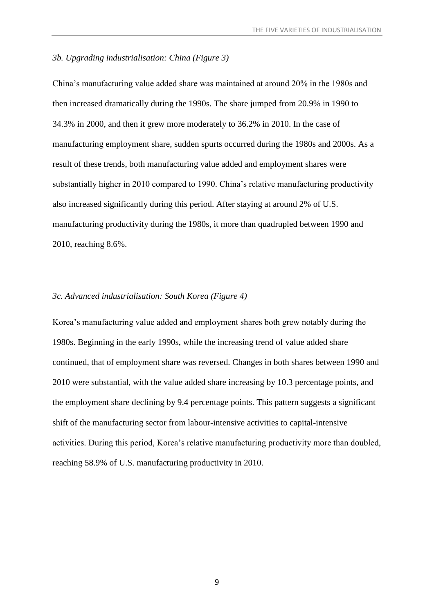### *3b. Upgrading industrialisation: China (Figure 3)*

China's manufacturing value added share was maintained at around 20% in the 1980s and then increased dramatically during the 1990s. The share jumped from 20.9% in 1990 to 34.3% in 2000, and then it grew more moderately to 36.2% in 2010. In the case of manufacturing employment share, sudden spurts occurred during the 1980s and 2000s. As a result of these trends, both manufacturing value added and employment shares were substantially higher in 2010 compared to 1990. China's relative manufacturing productivity also increased significantly during this period. After staying at around 2% of U.S. manufacturing productivity during the 1980s, it more than quadrupled between 1990 and 2010, reaching 8.6%.

#### *3c. Advanced industrialisation: South Korea (Figure 4)*

Korea's manufacturing value added and employment shares both grew notably during the 1980s. Beginning in the early 1990s, while the increasing trend of value added share continued, that of employment share was reversed. Changes in both shares between 1990 and 2010 were substantial, with the value added share increasing by 10.3 percentage points, and the employment share declining by 9.4 percentage points. This pattern suggests a significant shift of the manufacturing sector from labour-intensive activities to capital-intensive activities. During this period, Korea's relative manufacturing productivity more than doubled, reaching 58.9% of U.S. manufacturing productivity in 2010.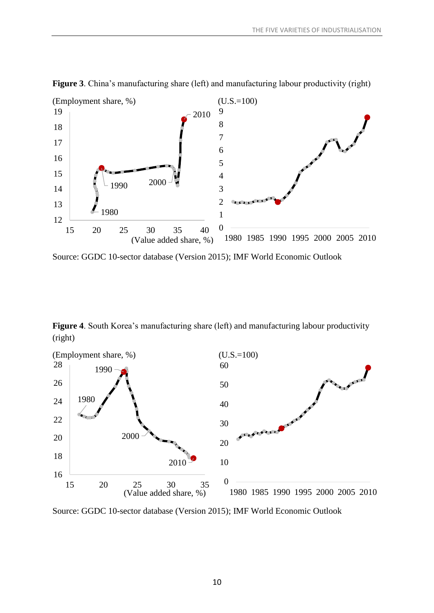

**Figure 3**. China's manufacturing share (left) and manufacturing labour productivity (right)

Source: GGDC 10-sector database (Version 2015); IMF World Economic Outlook

**Figure 4**. South Korea's manufacturing share (left) and manufacturing labour productivity (right)



Source: GGDC 10-sector database (Version 2015); IMF World Economic Outlook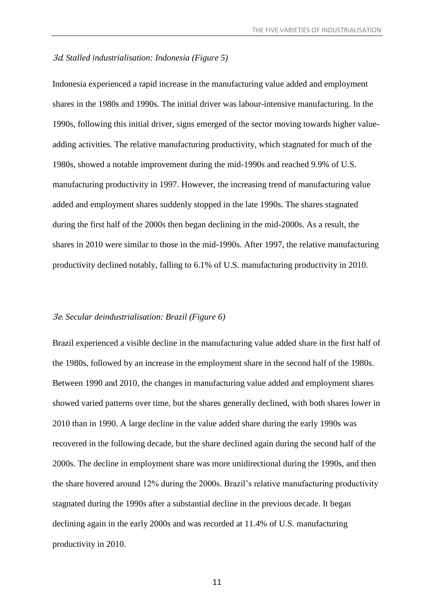#### 3d. *Stalled industrialisation: Indonesia (Figure 5)*

Indonesia experienced a rapid increase in the manufacturing value added and employment shares in the 1980s and 1990s. The initial driver was labour-intensive manufacturing. In the 1990s, following this initial driver, signs emerged of the sector moving towards higher valueadding activities. The relative manufacturing productivity, which stagnated for much of the 1980s, showed a notable improvement during the mid-1990s and reached 9.9% of U.S. manufacturing productivity in 1997. However, the increasing trend of manufacturing value added and employment shares suddenly stopped in the late 1990s. The shares stagnated during the first half of the 2000s then began declining in the mid-2000s. As a result, the shares in 2010 were similar to those in the mid-1990s. After 1997, the relative manufacturing productivity declined notably, falling to 6.1% of U.S. manufacturing productivity in 2010.

#### 3e. *Secular deindustrialisation: Brazil (Figure 6)*

Brazil experienced a visible decline in the manufacturing value added share in the first half of the 1980s, followed by an increase in the employment share in the second half of the 1980s. Between 1990 and 2010, the changes in manufacturing value added and employment shares showed varied patterns over time, but the shares generally declined, with both shares lower in 2010 than in 1990. A large decline in the value added share during the early 1990s was recovered in the following decade, but the share declined again during the second half of the 2000s. The decline in employment share was more unidirectional during the 1990s, and then the share hovered around 12% during the 2000s. Brazil's relative manufacturing productivity stagnated during the 1990s after a substantial decline in the previous decade. It began declining again in the early 2000s and was recorded at 11.4% of U.S. manufacturing productivity in 2010.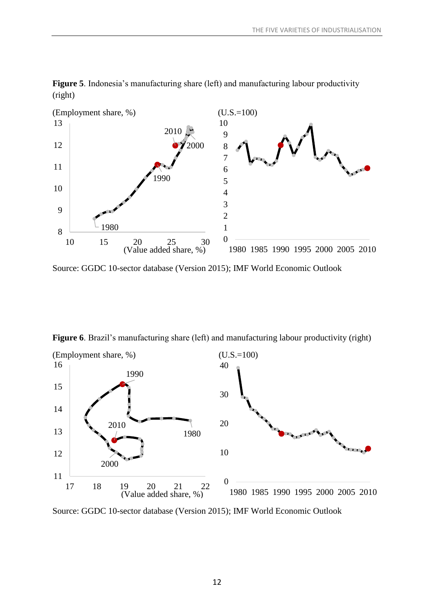

**Figure 5**. Indonesia's manufacturing share (left) and manufacturing labour productivity (right)

Source: GGDC 10-sector database (Version 2015); IMF World Economic Outlook



**Figure 6**. Brazil's manufacturing share (left) and manufacturing labour productivity (right)

Source: GGDC 10-sector database (Version 2015); IMF World Economic Outlook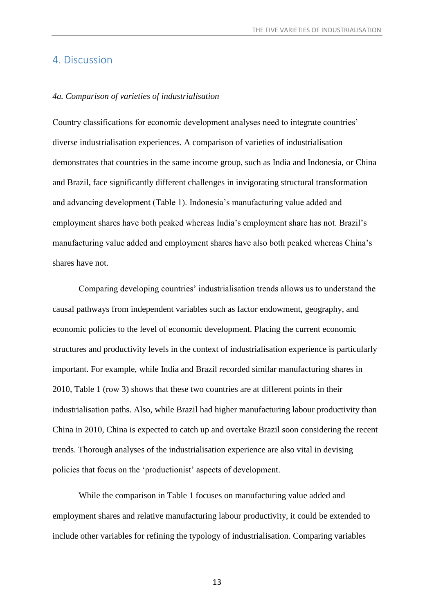### 4. Discussion

#### *4a. Comparison of varieties of industrialisation*

Country classifications for economic development analyses need to integrate countries' diverse industrialisation experiences. A comparison of varieties of industrialisation demonstrates that countries in the same income group, such as India and Indonesia, or China and Brazil, face significantly different challenges in invigorating structural transformation and advancing development (Table 1). Indonesia's manufacturing value added and employment shares have both peaked whereas India's employment share has not. Brazil's manufacturing value added and employment shares have also both peaked whereas China's shares have not.

Comparing developing countries' industrialisation trends allows us to understand the causal pathways from independent variables such as factor endowment, geography, and economic policies to the level of economic development. Placing the current economic structures and productivity levels in the context of industrialisation experience is particularly important. For example, while India and Brazil recorded similar manufacturing shares in 2010, Table 1 (row 3) shows that these two countries are at different points in their industrialisation paths. Also, while Brazil had higher manufacturing labour productivity than China in 2010, China is expected to catch up and overtake Brazil soon considering the recent trends. Thorough analyses of the industrialisation experience are also vital in devising policies that focus on the 'productionist' aspects of development.

While the comparison in Table 1 focuses on manufacturing value added and employment shares and relative manufacturing labour productivity, it could be extended to include other variables for refining the typology of industrialisation. Comparing variables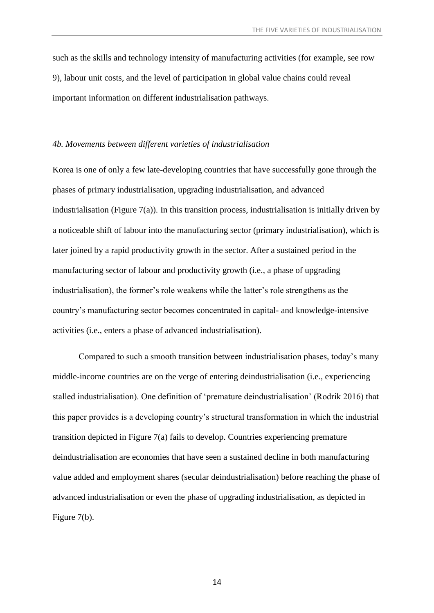such as the skills and technology intensity of manufacturing activities (for example, see row 9), labour unit costs, and the level of participation in global value chains could reveal important information on different industrialisation pathways.

#### *4b. Movements between different varieties of industrialisation*

Korea is one of only a few late-developing countries that have successfully gone through the phases of primary industrialisation, upgrading industrialisation, and advanced industrialisation (Figure 7(a)). In this transition process, industrialisation is initially driven by a noticeable shift of labour into the manufacturing sector (primary industrialisation), which is later joined by a rapid productivity growth in the sector. After a sustained period in the manufacturing sector of labour and productivity growth (i.e., a phase of upgrading industrialisation), the former's role weakens while the latter's role strengthens as the country's manufacturing sector becomes concentrated in capital- and knowledge-intensive activities (i.e., enters a phase of advanced industrialisation).

Compared to such a smooth transition between industrialisation phases, today's many middle-income countries are on the verge of entering deindustrialisation (i.e., experiencing stalled industrialisation). One definition of 'premature deindustrialisation' (Rodrik 2016) that this paper provides is a developing country's structural transformation in which the industrial transition depicted in Figure 7(a) fails to develop. Countries experiencing premature deindustrialisation are economies that have seen a sustained decline in both manufacturing value added and employment shares (secular deindustrialisation) before reaching the phase of advanced industrialisation or even the phase of upgrading industrialisation, as depicted in Figure 7(b).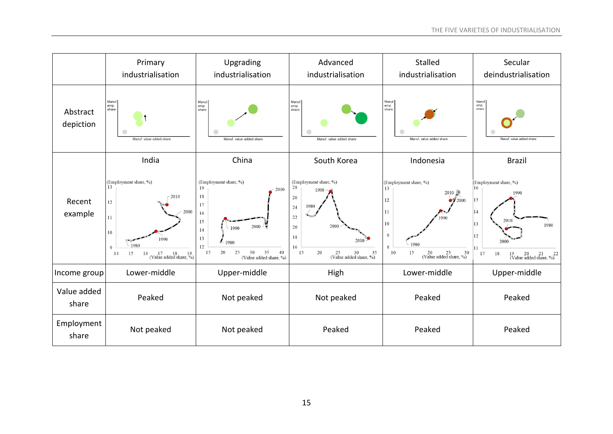|                       | Primary<br>industrialisation                                                                                                                         | Upgrading<br>industrialisation                                                                                                                                            | Advanced<br>industrialisation                                                                                                                                 | Stalled<br>industrialisation                                                                                                                                                          | Secular<br>deindustrialisation                                                                                                                         |
|-----------------------|------------------------------------------------------------------------------------------------------------------------------------------------------|---------------------------------------------------------------------------------------------------------------------------------------------------------------------------|---------------------------------------------------------------------------------------------------------------------------------------------------------------|---------------------------------------------------------------------------------------------------------------------------------------------------------------------------------------|--------------------------------------------------------------------------------------------------------------------------------------------------------|
| Abstract<br>depiction | Manuf.<br>emp.<br>share<br>Manuf. value added share                                                                                                  | Manuf.<br>emp.<br>share<br>Manuf, value added share                                                                                                                       | Manuf.<br>emp.<br>share<br>Manuf, value added share                                                                                                           | Manuf<br>emp.<br>share<br>Manuf. value added share                                                                                                                                    | Manuf<br>emp.<br>share<br>Manuf. value added shar                                                                                                      |
|                       | India                                                                                                                                                | China                                                                                                                                                                     | South Korea                                                                                                                                                   | Indonesia                                                                                                                                                                             | <b>Brazil</b>                                                                                                                                          |
| Recent<br>example     | (Employment share, %)<br>13<br>2010<br>12<br>2000<br>11<br>$10\,$<br>1990<br>1980<br>9<br>15<br>16<br>$17$ $18$ $19$<br>(Value added share, %)<br>14 | (Employment share, %)<br>19<br>2010<br>18<br>17<br>16<br>15<br>$2000 - 7$<br>1990<br>14<br>13<br>1980<br>12<br>35<br>40<br>20<br>30<br>15<br>25<br>(Value added share, %) | (Employment share, %)<br>28<br>1990<br>26<br>1980<br>24<br>22<br>2000<br>20<br>18<br>2010<br>16<br>20<br>$25$ $30$ $35$<br>(Value added share, %)<br>35<br>15 | (Employment share, %)<br>13<br>$2010$ $-$<br>12<br>$\blacktriangleright$ 72000<br>11<br>$10\,$<br>$\overline{9}$<br>1980<br>8<br>15<br>$20$ $25$ $30$<br>(Value added share, %)<br>10 | (Employment share, %)<br>16<br>1990<br>15<br>14<br>2010<br>13<br>1980<br>12<br>2000<br>11<br>18<br>17<br>$19$ $20$ $21$ $22$<br>(Value added share, %) |
| Income group          | Lower-middle                                                                                                                                         | Upper-middle                                                                                                                                                              | High                                                                                                                                                          | Lower-middle                                                                                                                                                                          | Upper-middle                                                                                                                                           |
| Value added<br>share  | Peaked                                                                                                                                               | Not peaked                                                                                                                                                                | Not peaked                                                                                                                                                    | Peaked                                                                                                                                                                                | Peaked                                                                                                                                                 |
| Employment<br>share   | Not peaked                                                                                                                                           | Not peaked                                                                                                                                                                | Peaked                                                                                                                                                        | Peaked                                                                                                                                                                                | Peaked                                                                                                                                                 |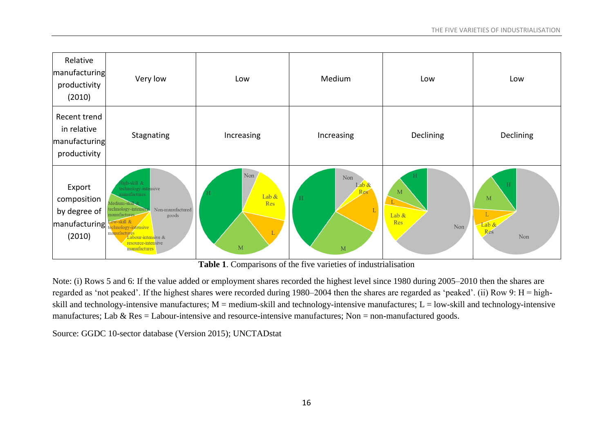

**Table 1**. Comparisons of the five varieties of industrialisation

Note: (i) Rows 5 and 6: If the value added or employment shares recorded the highest level since 1980 during 2005–2010 then the shares are regarded as 'not peaked'. If the highest shares were recorded during 1980–2004 then the shares are regarded as 'peaked'. (ii) Row 9: H = highskill and technology-intensive manufactures;  $M =$  medium-skill and technology-intensive manufactures;  $L =$  low-skill and technology-intensive manufactures; Lab  $\&$  Res = Labour-intensive and resource-intensive manufactures; Non = non-manufactured goods.

Source: GGDC 10-sector database (Version 2015); UNCTADstat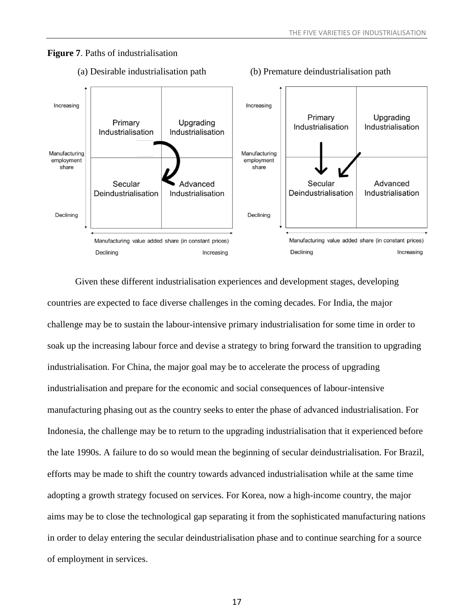### **Figure 7**. Paths of industrialisation



#### (a) Desirable industrialisation path (b) Premature deindustrialisation path

Given these different industrialisation experiences and development stages, developing countries are expected to face diverse challenges in the coming decades. For India, the major challenge may be to sustain the labour-intensive primary industrialisation for some time in order to soak up the increasing labour force and devise a strategy to bring forward the transition to upgrading industrialisation. For China, the major goal may be to accelerate the process of upgrading industrialisation and prepare for the economic and social consequences of labour-intensive manufacturing phasing out as the country seeks to enter the phase of advanced industrialisation. For Indonesia, the challenge may be to return to the upgrading industrialisation that it experienced before the late 1990s. A failure to do so would mean the beginning of secular deindustrialisation. For Brazil, efforts may be made to shift the country towards advanced industrialisation while at the same time adopting a growth strategy focused on services. For Korea, now a high-income country, the major aims may be to close the technological gap separating it from the sophisticated manufacturing nations in order to delay entering the secular deindustrialisation phase and to continue searching for a source of employment in services.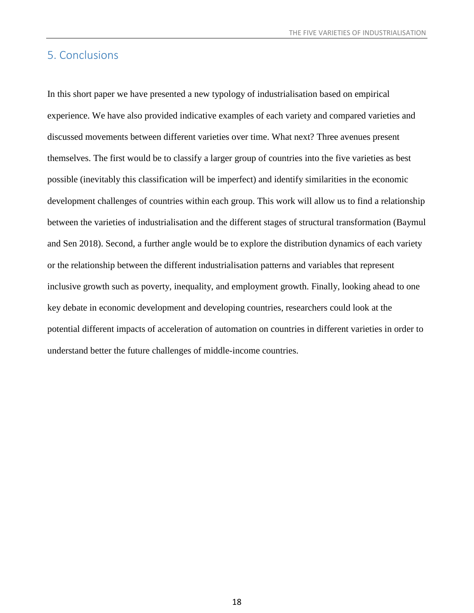## 5. Conclusions

In this short paper we have presented a new typology of industrialisation based on empirical experience. We have also provided indicative examples of each variety and compared varieties and discussed movements between different varieties over time. What next? Three avenues present themselves. The first would be to classify a larger group of countries into the five varieties as best possible (inevitably this classification will be imperfect) and identify similarities in the economic development challenges of countries within each group. This work will allow us to find a relationship between the varieties of industrialisation and the different stages of structural transformation (Baymul and Sen 2018). Second, a further angle would be to explore the distribution dynamics of each variety or the relationship between the different industrialisation patterns and variables that represent inclusive growth such as poverty, inequality, and employment growth. Finally, looking ahead to one key debate in economic development and developing countries, researchers could look at the potential different impacts of acceleration of automation on countries in different varieties in order to understand better the future challenges of middle-income countries.